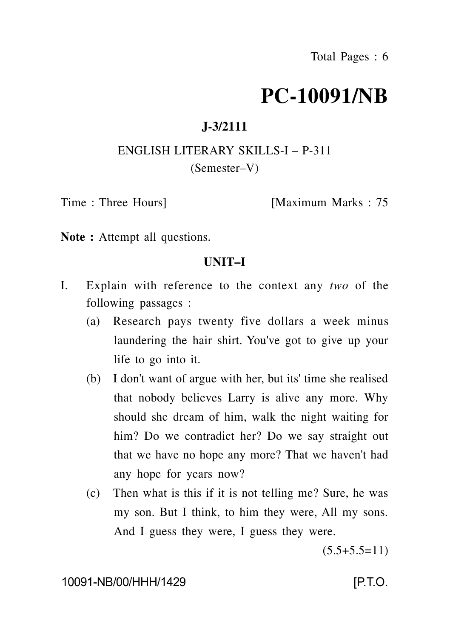# **PC-10091/NB**

## **J-3/2111**

## ENGLISH LITERARY SKILLS-I – P-311 (Semester–V)

Time : Three Hours [Maximum Marks : 75

Note : Attempt all questions.

#### **UNIT–I**

- I. Explain with reference to the context any *two* of the following passages :
	- (a) Research pays twenty five dollars a week minus laundering the hair shirt. You've got to give up your life to go into it.
	- (b) I don't want of argue with her, but its' time she realised that nobody believes Larry is alive any more. Why should she dream of him, walk the night waiting for him? Do we contradict her? Do we say straight out that we have no hope any more? That we haven't had any hope for years now?
	- (c) Then what is this if it is not telling me? Sure, he was my son. But I think, to him they were, All my sons. And I guess they were, I guess they were.

 $(5.5+5.5=11)$ 

10091-NB/00/HHH/1429 [P.T.O.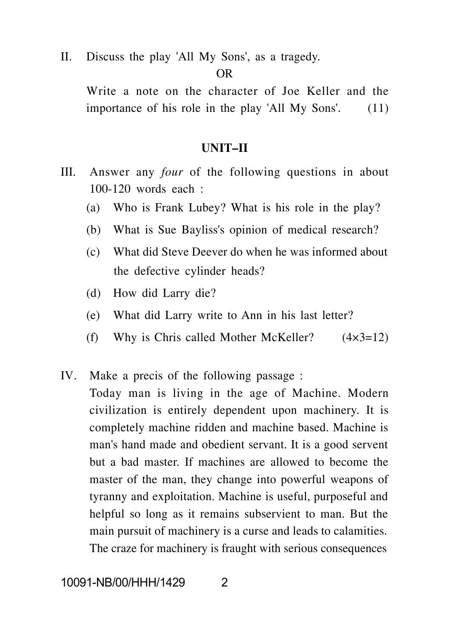II. Discuss the play 'All My Sons', as a tragedy.

OR

Write a note on the character of Joe Keller and the importance of his role in the play 'All My Sons'. (11)

#### **UNIT–II**

- III. Answer any *four* of the following questions in about 100-120 words each :
	- (a) Who is Frank Lubey? What is his role in the play?
	- (b) What is Sue Bayliss's opinion of medical research?
	- (c) What did Steve Deever do when he was informed about the defective cylinder heads?
	- (d) How did Larry die?
	- (e) What did Larry write to Ann in his last letter?
	- (f) Why is Chris called Mother McKeller?  $(4 \times 3=12)$
- IV. Make a precis of the following passage : Today man is living in the age of Machine. Modern civilization is entirely dependent upon machinery. It is completely machine ridden and machine based. Machine is man's hand made and obedient servant. It is a good servent but a bad master. If machines are allowed to become the master of the man, they change into powerful weapons of tyranny and exploitation. Machine is useful, purposeful and helpful so long as it remains subservient to man. But the main pursuit of machinery is a curse and leads to calamities. The craze for machinery is fraught with serious consequences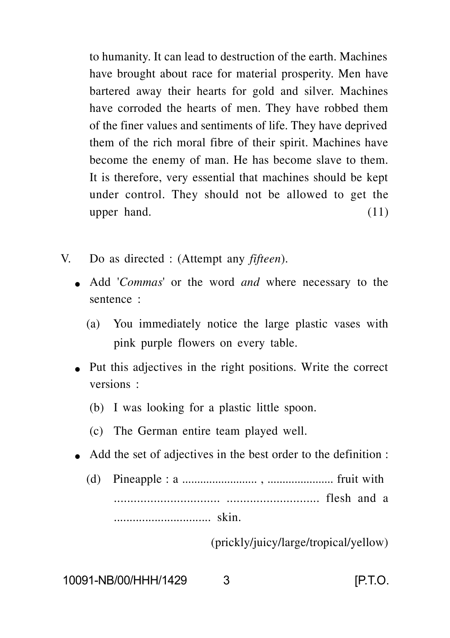to humanity. It can lead to destruction of the earth. Machines have brought about race for material prosperity. Men have bartered away their hearts for gold and silver. Machines have corroded the hearts of men. They have robbed them of the finer values and sentiments of life. They have deprived them of the rich moral fibre of their spirit. Machines have become the enemy of man. He has become slave to them. It is therefore, very essential that machines should be kept under control. They should not be allowed to get the upper hand.  $(11)$ 

- V. Do as directed : (Attempt any *fifteen*).
	- Add '*Commas*' or the word *and* where necessary to the sentence :
		- (a) You immediately notice the large plastic vases with pink purple flowers on every table.
	- Put this adjectives in the right positions. Write the correct versions :
		- (b) I was looking for a plastic little spoon.
		- (c) The German entire team played well.
	- Add the set of adjectives in the best order to the definition :
		- (d) Pineapple : a ......................... , ...................... fruit with ................................ ............................ flesh and a ............................... skin.

(prickly/juicy/large/tropical/yellow)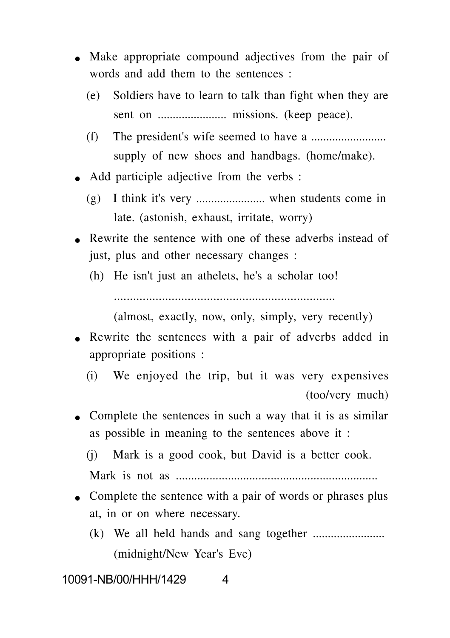- Make appropriate compound adjectives from the pair of words and add them to the sentences :
	- (e) Soldiers have to learn to talk than fight when they are sent on ....................... missions. (keep peace).
	- (f) The president's wife seemed to have a ......................... supply of new shoes and handbags. (home/make).
- Add participle adjective from the verbs :
	- (g) I think it's very ....................... when students come in late. (astonish, exhaust, irritate, worry)
- Rewrite the sentence with one of these adverbs instead of just, plus and other necessary changes :
	- (h) He isn't just an athelets, he's a scholar too!

.....................................................................

(almost, exactly, now, only, simply, very recently)

- Rewrite the sentences with a pair of adverbs added in appropriate positions :
	- (i) We enjoyed the trip, but it was very expensives (too/very much)
- Complete the sentences in such a way that it is as similar as possible in meaning to the sentences above it :
	- (j) Mark is a good cook, but David is a better cook. Mark is not as ..................................................................
- Complete the sentence with a pair of words or phrases plus at, in or on where necessary.
	- (k) We all held hands and sang together ........................ (midnight/New Year's Eve)

10091-NB/00/HHH/1429 4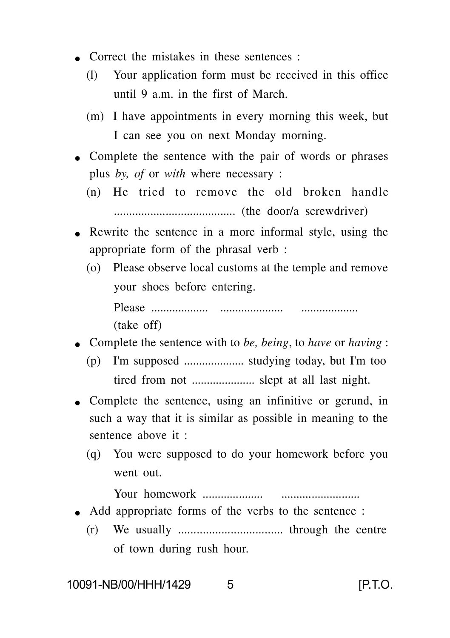- Correct the mistakes in these sentences :
	- (l) Your application form must be received in this office until 9 a.m. in the first of March.
	- (m) I have appointments in every morning this week, but I can see you on next Monday morning.
- Complete the sentence with the pair of words or phrases plus *by, of* or *with* where necessary :
	- (n) He tried to remove the old broken handle ........................................ (the door/a screwdriver)
- Rewrite the sentence in a more informal style, using the appropriate form of the phrasal verb :
	- (o) Please observe local customs at the temple and remove your shoes before entering.

Please ................... ..................... ................... (take off)

- Complete the sentence with to *be, being*, to *have* or *having* :
	- (p) I'm supposed .................... studying today, but I'm too tired from not ..................... slept at all last night.
- Complete the sentence, using an infinitive or gerund, in such a way that it is similar as possible in meaning to the sentence above it :
	- (q) You were supposed to do your homework before you went out.

Your homework .................... ..........................

- Add appropriate forms of the verbs to the sentence :
	- (r) We usually .................................. through the centre of town during rush hour.